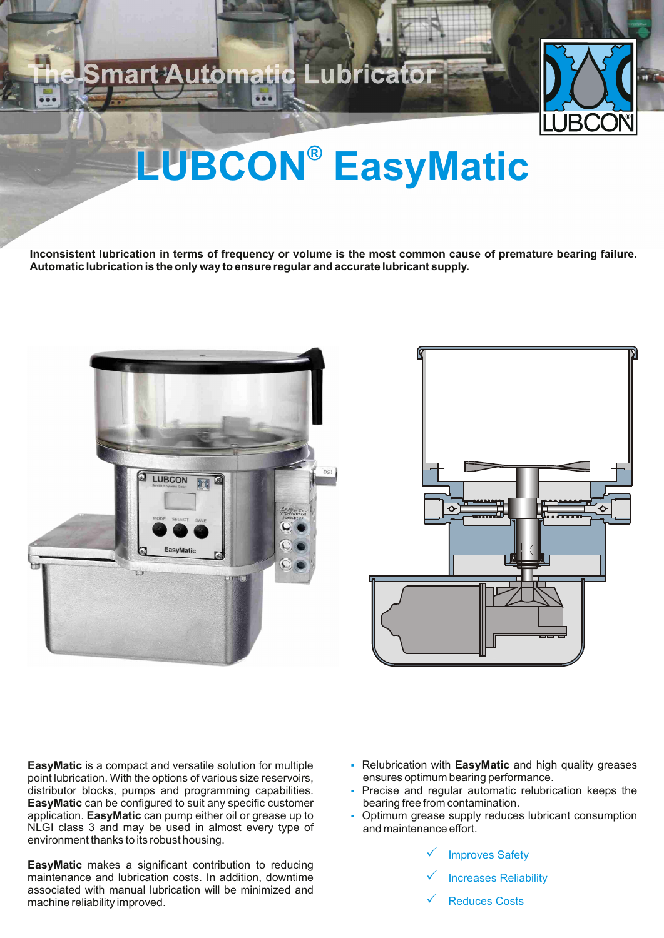### nart Automatic Lubricator



## **LUBCON®** EasyMatic

**Inconsistent lubrication in terms of frequency or volume is the most common cause of premature bearing failure. Automatic lubrication is the only way to ensure regular and accurate lubricant supply.**





**EasyMatic** is a compact and versatile solution for multiple point lubrication. With the options of various size reservoirs, distributor blocks, pumps and programming capabilities. **EasyMatic** can be configured to suit any specific customer application. **EasyMatic** can pump either oil or grease up to NLGI class 3 and may be used in almost every type of environment thanks to its robust housing.

**EasyMatic** makes a significant contribution to reducing maintenance and lubrication costs. In addition, downtime associated with manual lubrication will be minimized and machine reliability improved.

- Relubrication with **EasyMatic** and high quality greases ensures optimum bearing performance.
- Precise and regular automatic relubrication keeps the bearing free from contamination.
- Optimum grease supply reduces lubricant consumption and maintenance effort.
	- √ Improves Safety
	- $\checkmark$  Increases Reliability
	- ← Reduces Costs